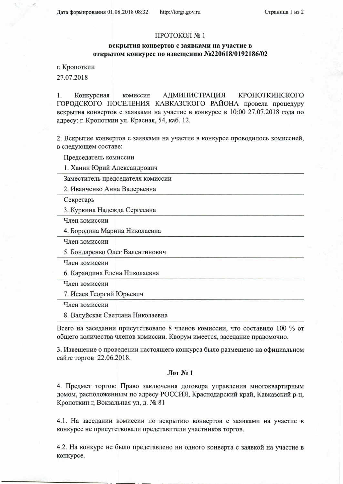## ПРОТОКОЛ № 1

## вскрытия конвертов с заявками на участие в открытом конкурсе по извещению №220618/0192186/02

г. Кропоткин

27.07.2018

АДМИНИСТРАЦИЯ КРОПОТКИНСКОГО 1. Конкурсная комиссия ГОРОДСКОГО ПОСЕЛЕНИЯ КАВКАЗСКОГО РАЙОНА провела процедуру вскрытия конвертов с заявками на участие в конкурсе в 10:00 27.07.2018 года по адресу: г. Кропоткин ул. Красная, 54, каб. 12.

2. Вскрытие конвертов с заявками на участие в конкурсе проводилось комиссией, в следующем составе:

Председатель комиссии

1. Ханин Юрий Александрович

Заместитель председателя комиссии

2. Иванченко Анна Валерьевна

Секретарь

3. Куркина Надежда Сергеевна

Член комиссии

4. Бородина Марина Николаевна

Член комиссии

5. Бондаренко Олег Валентинович

Член комиссии

6. Карандина Елена Николаевна

Член комиссии

7. Исаев Георгий Юрьевич

Член комиссии

8. Валуйская Светлана Николаевна

Всего на заседании присутствовало 8 членов комиссии, что составило 100 % от общего количества членов комиссии. Кворум имеется, заседание правомочно.

3. Извещение о проведении настоящего конкурса было размещено на официальном сайте торгов 22.06.2018.

## $J$ Ют № 1

4. Предмет торгов: Право заключения договора управления многоквартирным домом, расположенным по адресу РОССИЯ, Краснодарский край, Кавказский р-н, Кропоткин г, Вокзальная ул, д. № 81

4.1. На заседании комиссии по вскрытию конвертов с заявками на участие в конкурсе не присутствовали представители участников торгов.

4.2. На конкурс не было представлено ни одного конверта с заявкой на участие в конкурсе.